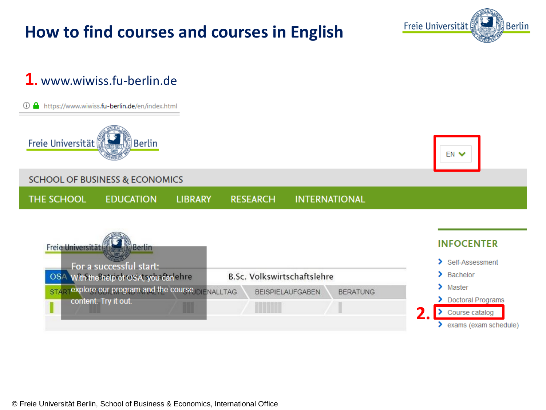© Freie Universität Berlin, School of Business & Economics, International Office

## **How to find courses and courses in English**

**LIBRARY** 

## **1.** www.wiwiss.fu-berlin.de

① △ https://www.wiwiss.fu-berlin.de/en/index.html



**THE SCHOOL** 

**SCHOOL OF BUSINESS & ECONOMICS** 

**EDUCATION** 



**INTERNATIONAL** 

**RESEARCH** 



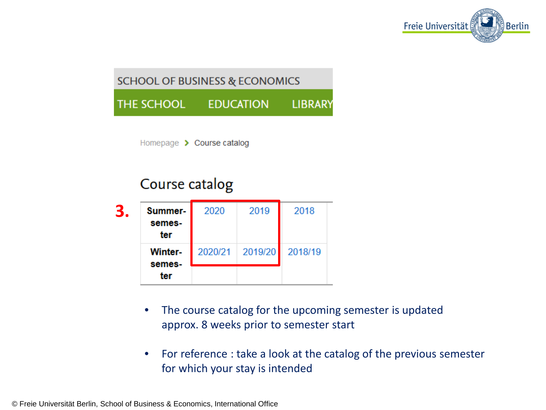

### **SCHOOL OF BUSINESS & ECONOMICS**

THE SCHOOL **EDUCATION LIBRARY** 

Homepage > Course catalog

## Course catalog



- The course catalog for the upcoming semester is updated approx. 8 weeks prior to semester start
- For reference : take a look at the catalog of the previous semester for which your stay is intended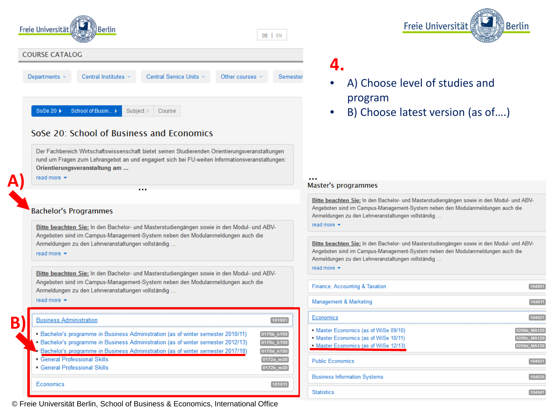

#### SoSe 20: School of Business and Economics

Der Fachbereich Wirtschaftswissenschaft bietet seinen Studierenden Orientierungsveranstaltungen rund um Fragen zum Lehrangebot an und engagiert sich bei FU-weiten Informationsveranstaltungen: Orientierungsveranstaltung am ...

**A) Lifead more**  $\cdot$  ...

#### **Bachelor's Programmes**

Bitte beachten Sie: In den Bachelor- und Masterstudiengängen sowie in den Modul- und ABV-Angeboten sind im Campus-Management-System neben den Modulanmeldungen auch die Anmeldungen zu den Lehrveranstaltungen vollständig...

read more  $\blacktriangleright$ 

Bitte beachten Sie: In den Bachelor- und Masterstudiengängen sowie in den Modul- und ABV-Angeboten sind im Campus-Management-System neben den Modulanmeldungen auch die Anmeldungen zu den Lehrveranstaltungen vollständig...

read more  $\blacktriangleright$ 

#### **B) Business Administration**

- Bachelor's programme in Business Administration (as of winter semester 2010/11)
- Bachelor's programme in Business Administration (as of winter semester 2012/13) 0170c\_k150 0170d\_k150
- Bachelor's programme in Business Administration (as of winter semester 2017/18)
- **General Professional Skills**
- **General Professional Skills**

Economics

© Freie Universität Berlin, School of Business & Economics, International Office

## **4.**

- A) Choose level of studies and program
- B) Choose latest version (as of….)

#### Master's programmes

Bitte beachten Sie: In den Bachelor- und Masterstudiengängen sowie in den Modul- und ABV-Angeboten sind im Campus-Management-System neben den Modulanmeldungen auch die Anmeldungen zu den Lehrveranstaltungen vollständig ...

#### read more  $\blacktriangleright$

Bitte beachten Sie: In den Bachelor- und Masterstudiengängen sowie in den Modul- und ABV-Angeboten sind im Campus-Management-System neben den Modulanmeldungen auch die Anmeldungen zu den Lehrveranstaltungen vollständig...

read more  $\blacktriangleright$ 

 $[101001]$ 

 $[0170b_{k150}]$ 

 $\boxed{0172a\_m30}$ 

0172b\_m30

 $[101011]$ 

| Finance, Accounting & Taxation                                                                                          |             |
|-------------------------------------------------------------------------------------------------------------------------|-------------|
| Management & Marketing                                                                                                  |             |
| Economics                                                                                                               | 1402        |
| • Master Economics (as of WiSe 09/10)<br>• Master Economics (as of WiSe 10/11)<br>• Master Economics (as of WiSe 12/13) | 0258c MA120 |
| <b>Public Economics</b>                                                                                                 |             |
| <b>Business Information Systems</b>                                                                                     |             |
| <b>Statistics</b>                                                                                                       |             |

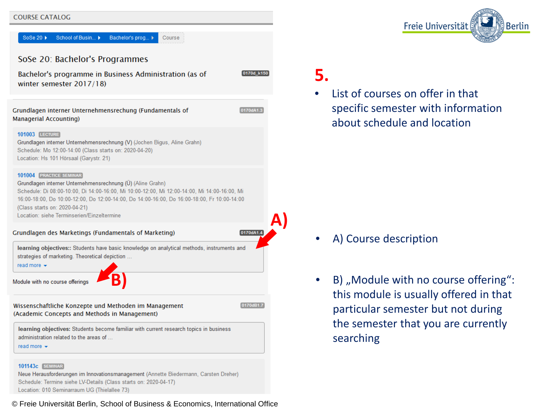#### **COURSE CATALOG**



#### 101143c SEMINAR

Neue Herausforderungen im Innovationsmanagement (Annette Biedermann, Carsten Dreher) Schedule: Termine siehe LV-Details (Class starts on: 2020-04-17) Location: 010 Seminarraum UG (Thielallee 73)

© Freie Universität Berlin, School of Business & Economics, International Office

## **5.**

**A)** 

0170d k150

0170dA1.3

0170dA1.4

0170dB1.7

List of courses on offer in that specific semester with information about schedule and location

- A) Course description
- B) "Module with no course offering": this module is usually offered in that particular semester but not during the semester that you are currently searching

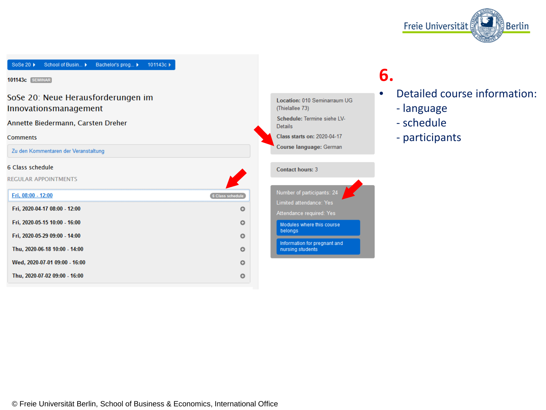

School of Busin... SoSe 20 ▶ Bachelor's prog... > 101143c >

**101143c** [SEMINAR]

#### SoSe 20: Neue Herausforderungen im Innovationsmanagement

Annette Biedermann, Carsten Dreher

#### **Comments**

Zu den Kommentaren der Veranstaltung

#### 6 Class schedule

**REGULAR APPOINTMENTS** 

| Fri. 08:00 - 12:00            | 6 Class schedule |
|-------------------------------|------------------|
| Fri, 2020-04-17 08:00 - 12:00 |                  |
| Fri, 2020-05-15 10:00 - 16:00 |                  |
| Fri, 2020-05-29 09:00 - 14:00 |                  |
| Thu, 2020-06-18 10:00 - 14:00 |                  |
| Wed, 2020-07-01 09:00 - 16:00 |                  |
| Thu, 2020-07-02 09:00 - 16:00 |                  |

Location: 010 Seminarraum UG (Thielallee 73) Schedule: Termine siehe LV-**Details** 

Class starts on: 2020-04-17

Course language: German

#### **Contact hours: 3**

Number of participants: 24 Limited attendance: Yes Attendance required: Yes Modules where this course belongs Information for pregnant and<br>nursing students

## **6.**

• Detailed course information:

- language
- schedule
- participants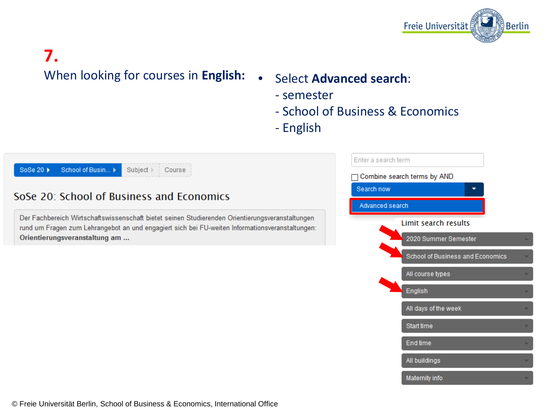

# **7.**

## When looking for courses in **English:** • Select **Advanced search**:

- semester
- School of Business & Economics
- English

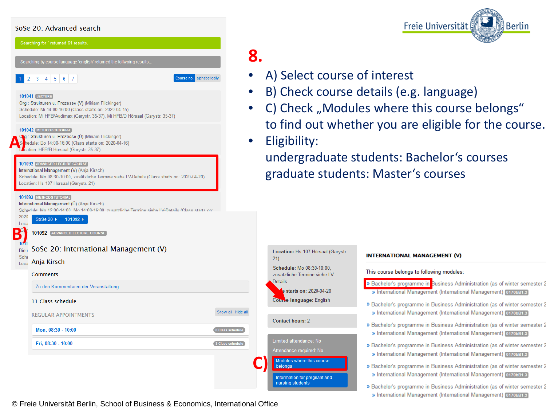#### SoSe 20: Advanced search

| Searching for " returned 61 results.                                                                                                                                                                                   |                   |                       |
|------------------------------------------------------------------------------------------------------------------------------------------------------------------------------------------------------------------------|-------------------|-----------------------|
| Searching by course language 'english' returned the follwoing results                                                                                                                                                  | Χ.                |                       |
| Course no.<br>2<br>3<br>$\sqrt{5}$<br>6<br>$\overline{7}$<br>4                                                                                                                                                         | alphabetically    | $A)$ S                |
| <b>101041 LECTURE</b>                                                                                                                                                                                                  |                   | B) C                  |
| Org.: Strukturen u. Prozesse (V) (Miriam Flickinger)<br>Schedule: Mi 14:00-16:00 (Class starts on: 2020-04-15)<br>Location: Mi HFB/Audimax (Garystr. 35-37), Mi HFB/D Hörsaal (Garystr. 35-37)                         |                   | C) C                  |
| <b>101042 METHODS TUTORIAL</b><br>Og.: Strukturen u. Prozesse (Ü) (Miriam Flickinger)<br>$\mathbb{S}^d$<br>hedule: Do 14:00-16:00 (Class starts on: 2020-04-16)<br>Location: HFB/B Hörsaal (Garystr. 35-37)            |                   | to fi<br><b>Eligi</b> |
| 101092 ADVANCED LECTURE COURSE<br>International Management (V) (Anja Kirsch)<br>Schedule: Mo 08:30-10:00, zusätzliche Termine siehe LV-Details (Class starts on: 2020-04-20)<br>Location: Hs 107 Hörsaal (Garystr. 21) |                   | und<br>grac           |
| 101093 METHODS TUTORIAL<br>International Management (Ü) (Anja Kirsch)<br>Schedule: Mo 12:00-14:00. Mo 14:00-16:00. zusätzliche Termine siehe LV-Details (Class starts on:<br>2020                                      |                   |                       |
| SoSe 20 ▶<br>101092 ▶<br>Loca<br>Э.<br>101092 ADVANCED LECTURE COURSE<br>$10 - 1$                                                                                                                                      |                   |                       |
| SoSe 20: International Management (V)<br>Die r<br><b>Sche</b>                                                                                                                                                          |                   | Locati                |
| Anja Kirsch<br>Loca                                                                                                                                                                                                    |                   | 21)<br>Sched          |
| <b>Comments</b>                                                                                                                                                                                                        |                   | zusätzl<br>Details    |
| Zu den Kommentaren der Veranstaltung                                                                                                                                                                                   |                   |                       |
| 11 Class schedule                                                                                                                                                                                                      |                   | Course                |
| <b>REGULAR APPOINTMENTS</b>                                                                                                                                                                                            | Show all Hide all | Contad                |
| Mon, 08:30 - 10:00                                                                                                                                                                                                     | 8 Class schedule  |                       |
|                                                                                                                                                                                                                        | 3 Class schedule  | Limited               |
| Fri, 08:30 - 10:00                                                                                                                                                                                                     |                   | Attenda               |
|                                                                                                                                                                                                                        |                   |                       |
|                                                                                                                                                                                                                        |                   | Modul<br>belon        |

© Freie Universität Berlin, School of Business & Economics, International Office



- elect course of interest
- heck course details (e.g. language)
- heck "Modules where this course belongs" ind out whether you are eligible for the course.
- bility:

ergraduate students: Bachelor's courses duate students: Master's courses

on: Hs 107 Hörsaal (Garystr. ule: Mo 08:30-10:00. iche Termine siehe LVtarts on: 2020-04-20 language: English t hours: 2 ittendance: No e required: No

> here this course tion for pregnant and students

#### **INTERNATIONAL MANAGEMENT (V)**

This course belongs to following modules:

- » Bachelor's programme in Business Administration (as of winter semester 2 » International Management (International Management) 0170bB1.3
- » Bachelor's programme in Business Administration (as of winter semester 2 » International Management (International Management) 0170bB1.3
- » Bachelor's programme in Business Administration (as of winter semester 2 » International Management (International Management) 0170bB1.3
- » Bachelor's programme in Business Administration (as of winter semester 2 » International Management (International Management) 0170bB1.3
- » Bachelor's programme in Business Administration (as of winter semester 2 » International Management (International Management) 0170bB1.3
- » Bachelor's programme in Business Administration (as of winter semester 2
- » International Management (International Management) 0170bB1.3